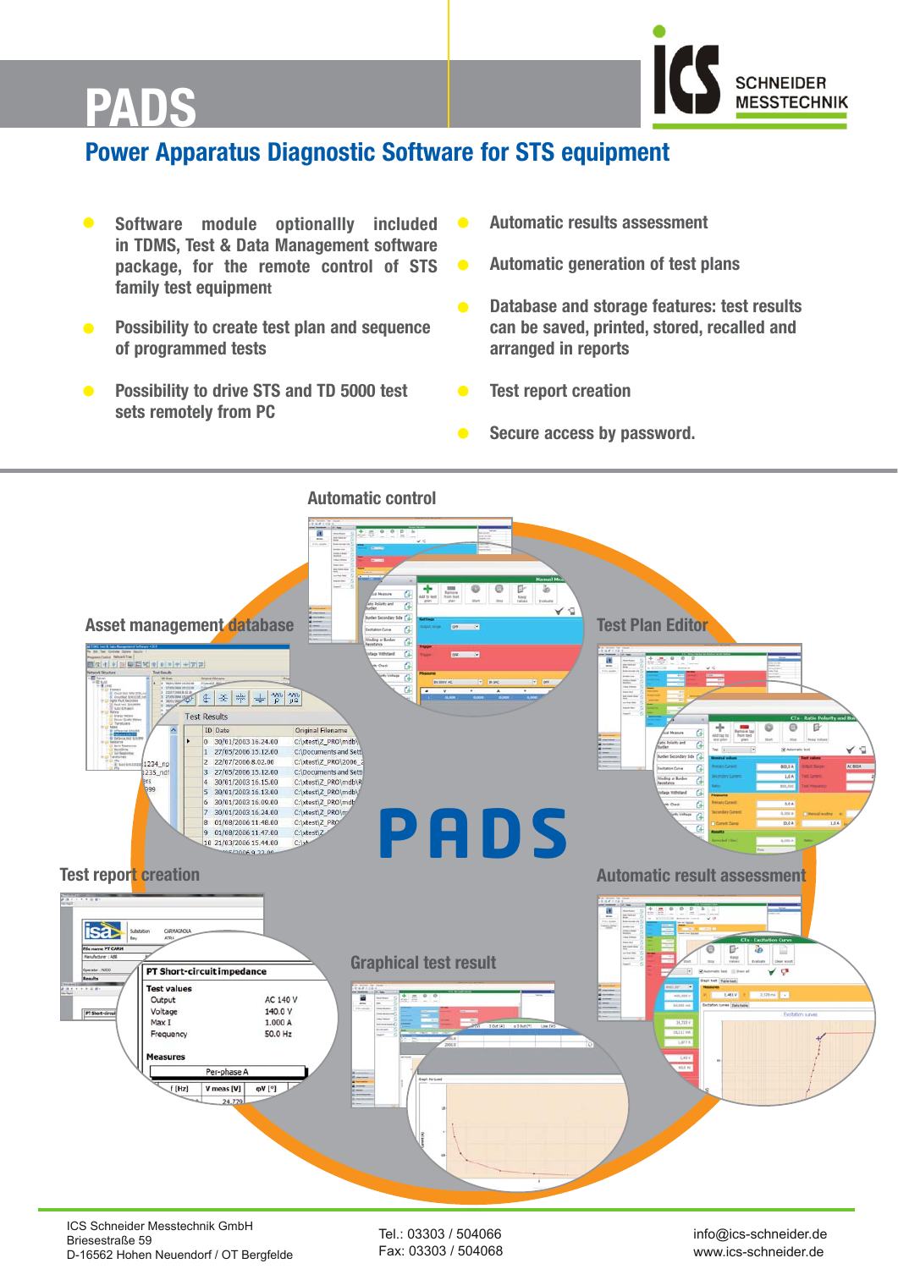

# **PADS PADS**

# **Power Apparatus Diagnostic Software for STS equipment**

- **• Software module optionallly included in TDMS, Test & Data Management software package, for the remote control of STS family test equipment**
- **• Possibility to create test plan and sequence of programmed tests**
- **Possibility to drive STS and TD 5000 test sets remotely from PC**
- **Automatic results assessment**
- **Automatic generation of test plans**
- **Database and storage features: test results can be saved, printed, stored, recalled and arranged in reports**
- **Test report creation**
- **Secure access by password.**



ICS Schneider Messtechnik GmbH Briesestraße 59 D-16562 Hohen Neuendorf / OT Bergfelde

Tel.: 03303 / 504066 Fax: 03303 / 504068 info@ics-schneider.de www.ics-schneider.de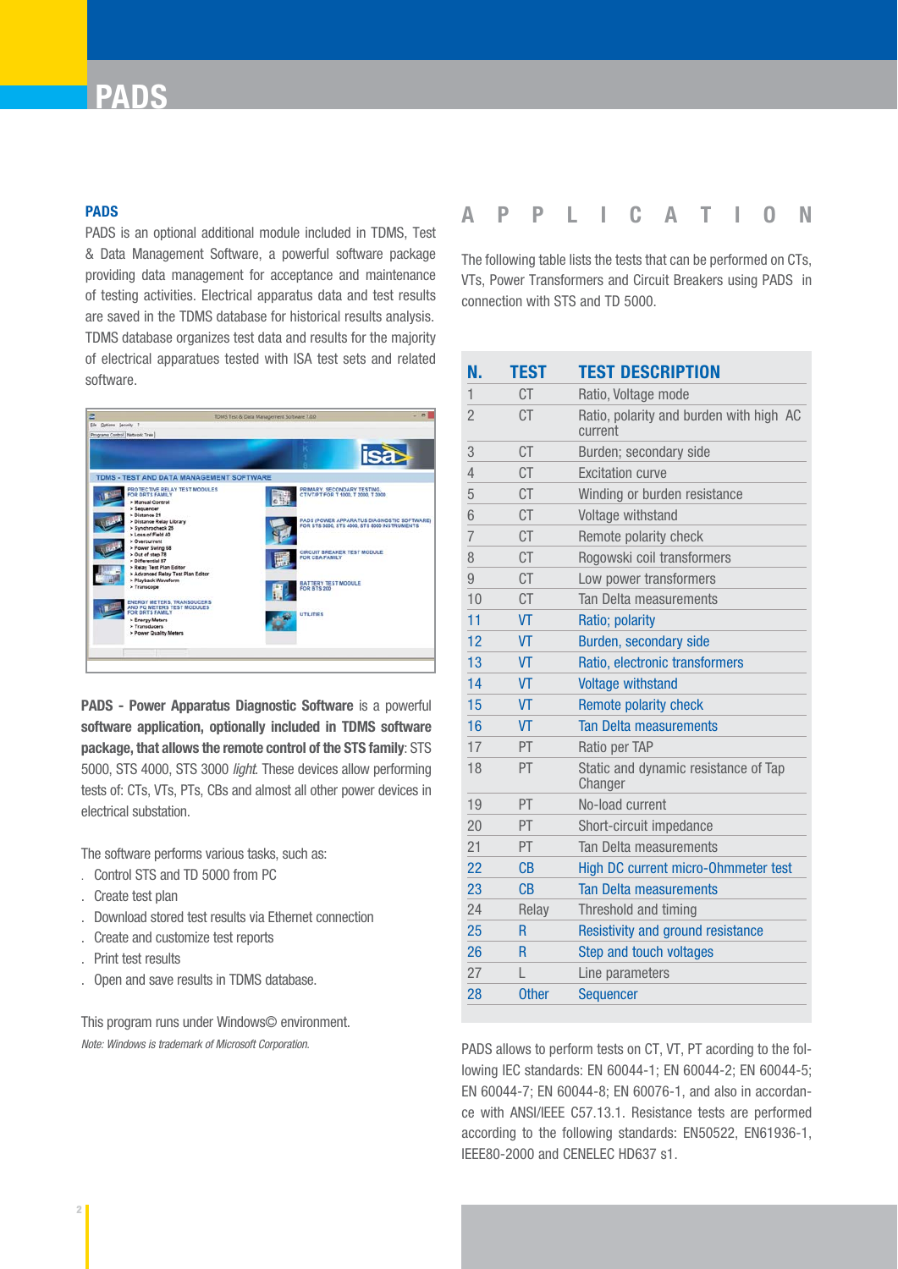# **PADS**

#### **PADS**

PADS is an optional additional module included in TDMS, Test & Data Management Software, a powerful software package providing data management for acceptance and maintenance of testing activities. Electrical apparatus data and test results are saved in the TDMS database for historical results analysis. TDMS database organizes test data and results for the majority of electrical apparatues tested with ISA test sets and related software.



**PADS - Power Apparatus Diagnostic Software** is a powerful **software application, optionally included in TDMS software package, that allows the remote control of the STS family**: STS 5000, STS 4000, STS 3000 *light*. These devices allow performing tests of: CTs, VTs, PTs, CBs and almost all other power devices in electrical substation.

The software performs various tasks, such as:

- . Control STS and TD 5000 from PC
- . Create test plan
- . Download stored test results via Ethernet connection
- . Create and customize test reports
- . Print test results
- . Open and save results in TDMS database.

This program runs under Windows© environment. *Note: Windows is trademark of Microsoft Corporation.*

### **APPLICATION**

The following table lists the tests that can be performed on CTs, VTs, Power Transformers and Circuit Breakers using PADS in connection with STS and TD 5000.

| N.             | <b>TEST</b>  | <b>TEST DESCRIPTION</b>                            |
|----------------|--------------|----------------------------------------------------|
| 1              | CT           | Ratio, Voltage mode                                |
| $\overline{2}$ | <b>CT</b>    | Ratio, polarity and burden with high AC<br>current |
| 3              | <b>CT</b>    | Burden; secondary side                             |
| $\overline{4}$ | <b>CT</b>    | <b>Excitation curve</b>                            |
| 5              | СT           | Winding or burden resistance                       |
| 6              | СT           | Voltage withstand                                  |
| $\overline{7}$ | СT           | Remote polarity check                              |
| 8              | <b>CT</b>    | Rogowski coil transformers                         |
| 9              | <b>CT</b>    | Low power transformers                             |
| 10             | <b>CT</b>    | Tan Delta measurements                             |
| 11             | VT           | Ratio; polarity                                    |
| 12             | VT           | Burden, secondary side                             |
| 13             | VT           | Ratio, electronic transformers                     |
| 14             | <b>VT</b>    | <b>Voltage withstand</b>                           |
| 15             | VT           | Remote polarity check                              |
| 16             | <b>VT</b>    | <b>Tan Delta measurements</b>                      |
| 17             | PT           | Ratio per TAP                                      |
| 18             | PT           | Static and dynamic resistance of Tap<br>Changer    |
| 19             | PT           | No-load current                                    |
| 20             | PT           | Short-circuit impedance                            |
| 21             | PT.          | Tan Delta measurements                             |
| 22             | CB           | High DC current micro-Ohmmeter test                |
| 23             | СB           | <b>Tan Delta measurements</b>                      |
| 24             | Relay        | Threshold and timing                               |
| 25             | R            | Resistivity and ground resistance                  |
| 26             | R            | Step and touch voltages                            |
| 27             | L            | Line parameters                                    |
| 28             | <b>Other</b> | Sequencer                                          |

PADS allows to perform tests on CT, VT, PT acording to the following IEC standards: EN 60044-1; EN 60044-2; EN 60044-5; EN 60044-7; EN 60044-8; EN 60076-1, and also in accordance with ANSI/IEEE C57.13.1. Resistance tests are performed according to the following standards: EN50522, EN61936-1, IEEE80-2000 and CENELEC HD637 s1.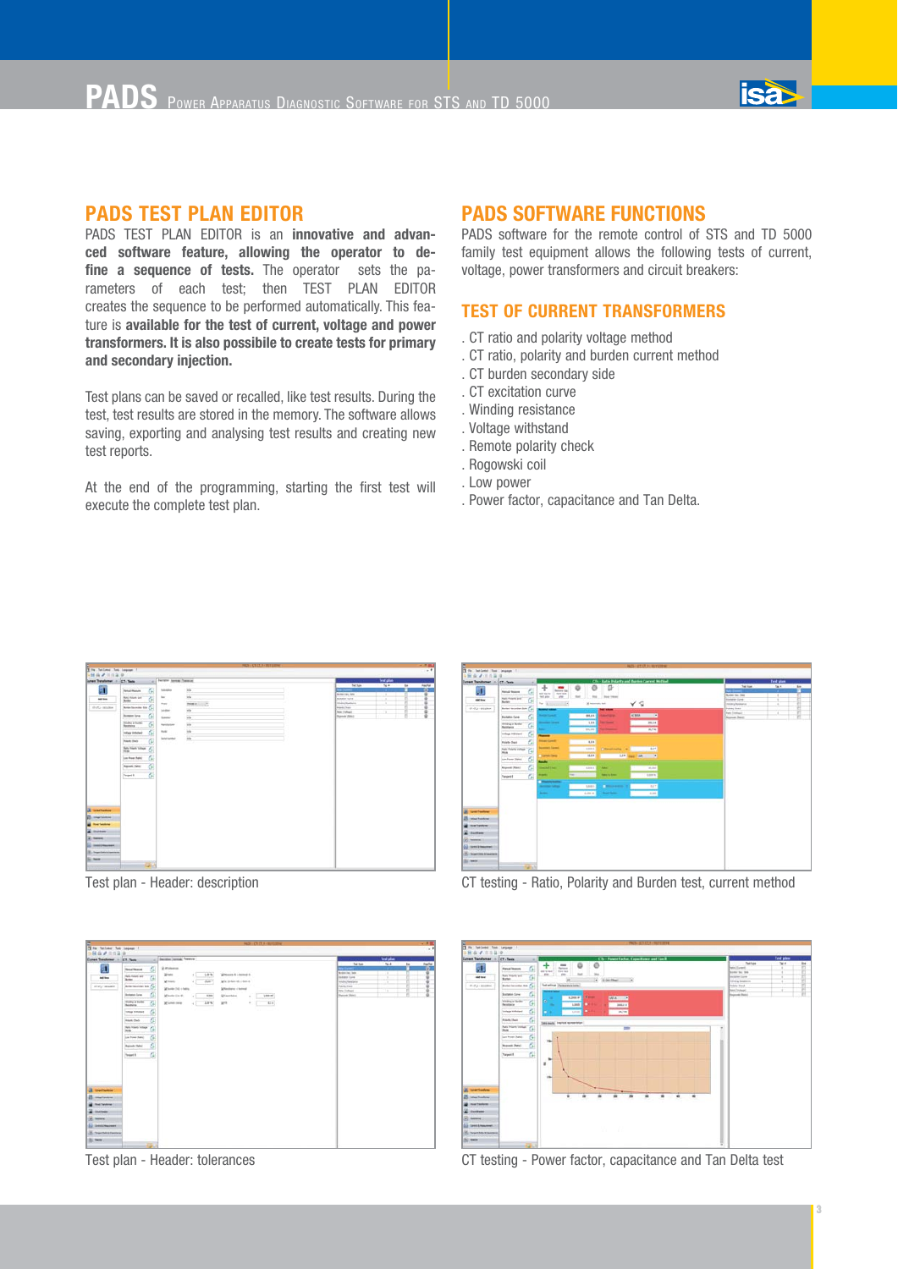

PADS TEST PLAN EDITOR is an **innovative and advanced software feature, allowing the operator to de**fine a sequence of tests. The operator sets the parameters of each test; then TEST PLAN EDITOR creates the sequence to be performed automatically. This feature is **available for the test of current, voltage and power transformers. It is also possibile to create tests for primary and secondary injection.**

Test plans can be saved or recalled, like test results. During the test, test results are stored in the memory. The software allows saving, exporting and analysing test results and creating new test reports.

At the end of the programming, starting the first test will execute the complete test plan.

#### **PADS SOFTWARE FUNCTIONS**

PADS software for the remote control of STS and TD 5000 family test equipment allows the following tests of current, voltage, power transformers and circuit breakers:

#### **TEST OF CURRENT TRANSFORMERS**

- . CT ratio and polarity voltage method
- . CT ratio, polarity and burden current method
- . CT burden secondary side
- . CT excitation curve
- . Winding resistance
- . Voltage withstand
- . Remote polarity check
- . Rogowski coil
- . Low power
- . Power factor, capacitance and Tan Delta.



Test plan - Header: description



Test plan - Header: tolerances



CT testing - Ratio, Polarity and Burden test, current method



CT testing - Power factor, capacitance and Tan Delta test